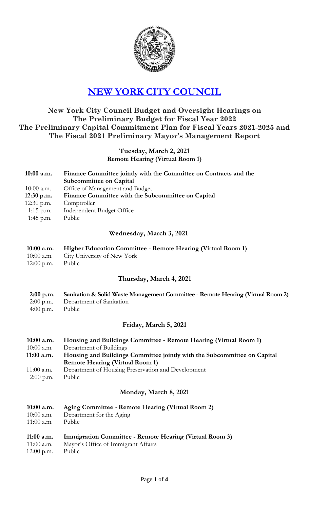

# **[NEW YORK CITY COUNCIL](http://legistar.council.nyc.gov/Calendar.aspx)**

# **New York City Council Budget and Oversight Hearings on The Preliminary Budget for Fiscal Year 2022 The Preliminary Capital Commitment Plan for Fiscal Years 2021-2025 and The Fiscal 2021 Preliminary Mayor's Management Report**

### **Tuesday, March 2, 2021 Remote Hearing (Virtual Room 1)**

**10:00 a.m. Finance Committee jointly with the Committee on Contracts and the Subcommittee on Capital** 10:00 a.m. Office of Management and Budget  **12:30 p.m. Finance Committee with the Subcommittee on Capital** 12:30 p.m. Comptroller 1:15 p.m. Independent Budget Office 1:45 p.m. Public

## **Wednesday, March 3, 2021**

- **10:00 a.m. Higher Education Committee - Remote Hearing (Virtual Room 1)** 10:00 a.m. City University of New York
- 12:00 p.m. Public

#### **Thursday, March 4, 2021**

- **2:00 p.m. Sanitation & Solid Waste Management Committee - Remote Hearing (Virtual Room 2)**
- 2:00 p.m. Department of Sanitation
- 4:00 p.m. Public

# **Friday, March 5, 2021**

| $10:00$ a.m. | Housing and Buildings Committee - Remote Hearing (Virtual Room 1)        |
|--------------|--------------------------------------------------------------------------|
| $10:00$ a.m. | Department of Buildings                                                  |
| $11:00$ a.m. | Housing and Buildings Committee jointly with the Subcommittee on Capital |
|              | <b>Remote Hearing (Virtual Room 1)</b>                                   |
| $11:00$ a.m. | Department of Housing Preservation and Development                       |

2:00 p.m. Public

# **Monday, March 8, 2021**

#### **10:00 a.m. Aging Committee - Remote Hearing (Virtual Room 2)**

- 10:00 a.m. Department for the Aging
- 11:00 a.m. Public

## **11:00 a.m. Immigration Committee - Remote Hearing (Virtual Room 3)**

- 11:00 a.m. Mayor's Office of Immigrant Affairs
- 12:00 p.m. Public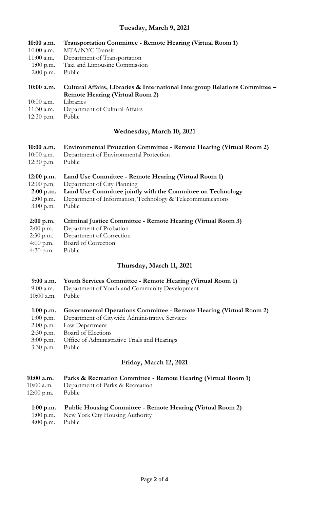# **Tuesday, 0, 2021**

| Tuesday, March 9, 2021 |              |                                                                                                                        |
|------------------------|--------------|------------------------------------------------------------------------------------------------------------------------|
|                        | 10:00 a.m.   | <b>Transportation Committee - Remote Hearing (Virtual Room 1)</b>                                                      |
|                        | $10:00$ a.m. | MTA/NYC Transit                                                                                                        |
|                        | 11:00 a.m.   | Department of Transportation                                                                                           |
|                        | $1:00$ p.m.  | Taxi and Limousine Commission                                                                                          |
|                        | $2:00$ p.m.  | Public                                                                                                                 |
|                        | 10:00 a.m.   | Cultural Affairs, Libraries & International Intergroup Relations Committee -<br><b>Remote Hearing (Virtual Room 2)</b> |
|                        | $10:00$ a.m. | Libraries                                                                                                              |
|                        | 11:30 a.m.   | Department of Cultural Affairs                                                                                         |
|                        | 12:30 p.m.   | Public                                                                                                                 |
|                        |              | Wednesday, March 10, 2021                                                                                              |
|                        | 10:00 a.m.   | <b>Environmental Protection Committee - Remote Hearing (Virtual Room 2)</b>                                            |
|                        | $10:00$ a.m. | Department of Environmental Protection                                                                                 |
|                        | 12:30 p.m.   | Public                                                                                                                 |
|                        | $12:00$ p.m. | Land Use Committee - Remote Hearing (Virtual Room 1)                                                                   |
|                        | 12:00 p.m.   | Department of City Planning                                                                                            |
|                        | 2:00 p.m.    | Land Use Committee jointly with the Committee on Technology                                                            |
|                        | $2:00$ p.m.  | Department of Information, Technology & Telecommunications                                                             |
|                        | $3:00$ p.m.  | Public                                                                                                                 |
|                        | $2:00$ p.m.  | Criminal Justice Committee - Remote Hearing (Virtual Room 3)                                                           |
|                        | $2:00$ p.m.  | Department of Probation                                                                                                |
|                        | 2:30 p.m.    | Department of Correction                                                                                               |
|                        | 4:00 p.m.    | Board of Correction                                                                                                    |
|                        | 4:30 p.m.    | Public                                                                                                                 |
|                        |              | Thursday, March 11, 2021                                                                                               |
|                        |              |                                                                                                                        |

- **9:00 a.m. Youth Services Committee - Remote Hearing (Virtual Room 1)**
- 9:00 a.m. Department of Youth and Community Development
- 10:00 a.m. Public

#### **1:00 p.m. Governmental Operations Committee - Remote Hearing (Virtual Room 2)**

- 1:00 p.m. Department of Citywide Administrative Services
- 2:00 p.m. Law Department
- 2:30 p.m. Board of Elections
- 3:00 p.m. Office of Administrative Trials and Hearings
- 3:30 p.m. Public

### **Friday, March 12, 2021**

- **10:00 a.m. Parks & Recreation Committee - Remote Hearing (Virtual Room 1)**
- 10:00 a.m. Department of Parks & Recreation
- 12:00 p.m. Public

#### **1:00 p.m. Public Housing Committee - Remote Hearing (Virtual Room 2)**

- 1:00 p.m. New York City Housing Authority
- 4:00 p.m. Public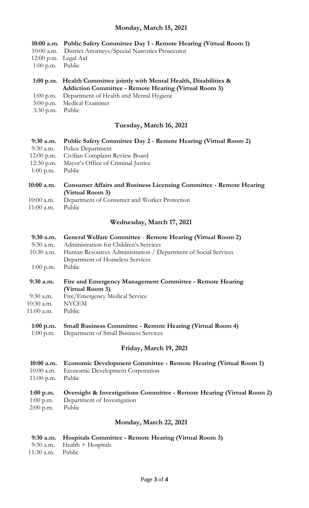### **Monday, March 15, 2021**

- **10:00 a.m. Public Safety Committee Day 1 - Remote Hearing (Virtual Room 1)**
- 10:00 a.m.District Attorneys/Special Narcotics Prosecutor
- 12:00 p.m. Legal Aid
- 1:00 p.m. Public
- **1:00 p.m. Health Committee jointly with Mental Health, Disabilities & Addiction Committee - Remote Hearing (Virtual Room 3)**
- 1:00 p.m. Department of Health and Mental Hygiene
- 3:00 p.m. Medical Examiner
- 3:30 p.m. Public

## **Tuesday, March 16, 2021**

- **9:30 a.m. Public Safety Committee Day 2 - Remote Hearing (Virtual Room 2)**
- 9:30 a.m. Police Department
- 12:00 p.m. Civilian Complaint Review Board
- 12:30 p.m. Mayor's Office of Criminal Justice
- 1:00 p.m. Public
- **10:00 a.m. Consumer Affairs and Business Licensing Committee - Remote Hearing (Virtual Room 3)**
- 10:00 a.m. Department of Consumer and Worker Protection<br>11:00 a.m. Public
- $11:00$  a.m.

## **Wednesday, March 17, 2021**

- **9:30 a.m. General Welfare Committee Remote Hearing (Virtual Room 2)**
- 9:30 a.m. Administration for Children's Services
- 10:30 a.m. Human Resources Administration / Department of Social Services Department of Homeless Services
- 1:00 p.m. Public
- **9:30 a.m. Fire and Emergency Management Committee - Remote Hearing (Virtual Room 3)**
- 9:30 a.m. Fire/Emergency Medical Service 10:30 a.m. NYCEM
- 11:00 a.m. Public
- 

#### **1:00 p.m. Small Business Committee - Remote Hearing (Virtual Room 4)**

1:00 p.m. Department of Small Business Services

#### **Friday, March 19, 2021**

- **10:00 a.m. Economic Development Committee - Remote Hearing (Virtual Room 1)**
- 10:00 a.m. Economic Development Corporation
- 11:00 p.m. Public

# **1:00 p.m. Oversight & Investigations Committee - Remote Hearing (Virtual Room 2)**

- 1:00 p.m. Department of Investigation
- 2:00 p.m. Public

# **Monday, March 22, 2021**

#### **9:30 a.m. Hospitals Committee - Remote Hearing (Virtual Room 3)**

- 9:30 a.m. Health + Hospitals
- 11:30 a.m. Public